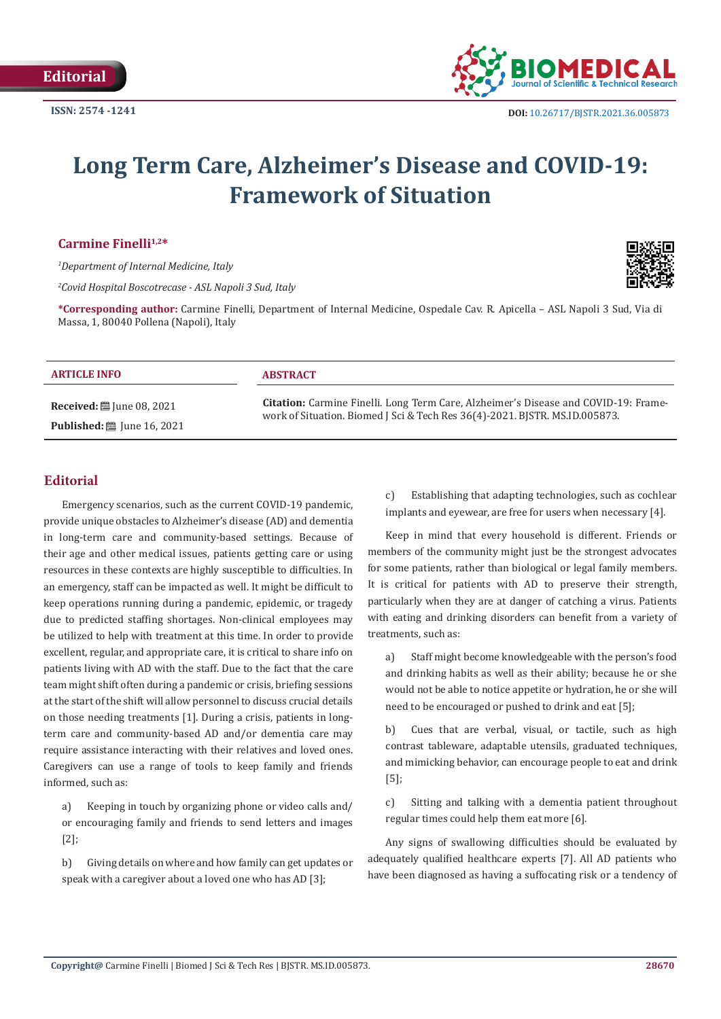

# **Long Term Care, Alzheimer's Disease and COVID-19: Framework of Situation**

Carmine Finelli<sup>1,2\*</sup>

*1 Department of Internal Medicine, Italy*

*2 Covid Hospital Boscotrecase - ASL Napoli 3 Sud, Italy*



**\*Corresponding author:** Carmine Finelli, Department of Internal Medicine, Ospedale Cav. R. Apicella – ASL Napoli 3 Sud, Via di Massa, 1, 80040 Pollena (Napoli), Italy

#### **ARTICLE INFO ABSTRACT**

**Received:** ■ June 08, 2021 **Published:** ■ June 16, 2021

**Citation:** Carmine Finelli. Long Term Care, Alzheimer's Disease and COVID-19: Framework of Situation. Biomed J Sci & Tech Res 36(4)-2021. BJSTR. MS.ID.005873.

### **Editorial**

Emergency scenarios, such as the current COVID-19 pandemic, provide unique obstacles to Alzheimer's disease (AD) and dementia in long-term care and community-based settings. Because of their age and other medical issues, patients getting care or using resources in these contexts are highly susceptible to difficulties. In an emergency, staff can be impacted as well. It might be difficult to keep operations running during a pandemic, epidemic, or tragedy due to predicted staffing shortages. Non-clinical employees may be utilized to help with treatment at this time. In order to provide excellent, regular, and appropriate care, it is critical to share info on patients living with AD with the staff. Due to the fact that the care team might shift often during a pandemic or crisis, briefing sessions at the start of the shift will allow personnel to discuss crucial details on those needing treatments [1]. During a crisis, patients in longterm care and community-based AD and/or dementia care may require assistance interacting with their relatives and loved ones. Caregivers can use a range of tools to keep family and friends informed, such as:

a) Keeping in touch by organizing phone or video calls and/ or encouraging family and friends to send letters and images [2];

b) Giving details on where and how family can get updates or speak with a caregiver about a loved one who has AD [3];

c) Establishing that adapting technologies, such as cochlear implants and eyewear, are free for users when necessary [4].

Keep in mind that every household is different. Friends or members of the community might just be the strongest advocates for some patients, rather than biological or legal family members. It is critical for patients with AD to preserve their strength, particularly when they are at danger of catching a virus. Patients with eating and drinking disorders can benefit from a variety of treatments, such as:

a) Staff might become knowledgeable with the person's food and drinking habits as well as their ability; because he or she would not be able to notice appetite or hydration, he or she will need to be encouraged or pushed to drink and eat [5];

b) Cues that are verbal, visual, or tactile, such as high contrast tableware, adaptable utensils, graduated techniques, and mimicking behavior, can encourage people to eat and drink [5];

c) Sitting and talking with a dementia patient throughout regular times could help them eat more [6].

Any signs of swallowing difficulties should be evaluated by adequately qualified healthcare experts [7]. All AD patients who have been diagnosed as having a suffocating risk or a tendency of